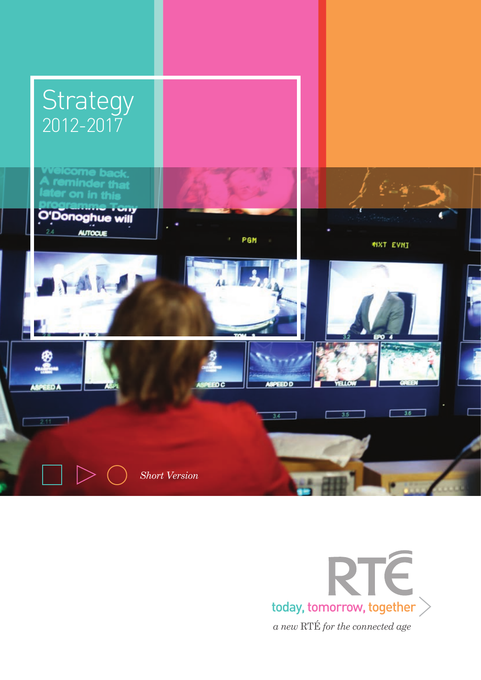

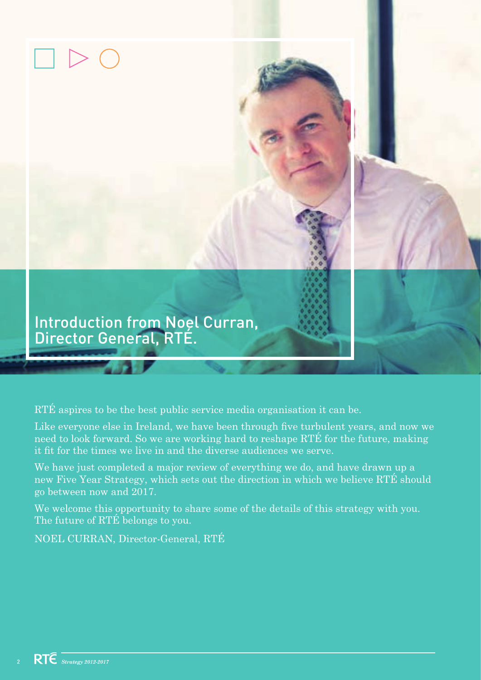

RTÉ aspires to be the best public service media organisation it can be.

Like everyone else in Ireland, we have been through five turbulent years, and now we need to look forward. So we are working hard to reshape RTÉ for the future, making it fit for the times we live in and the diverse audiences we serve.

We have just completed a major review of everything we do, and have drawn up a new Five Year Strategy, which sets out the direction in which we believe RTÉ should go between now and 2017.

We welcome this opportunity to share some of the details of this strategy with you. The future of RTÉ belongs to you.

NOEL CURRAN, Director-General, RTÉ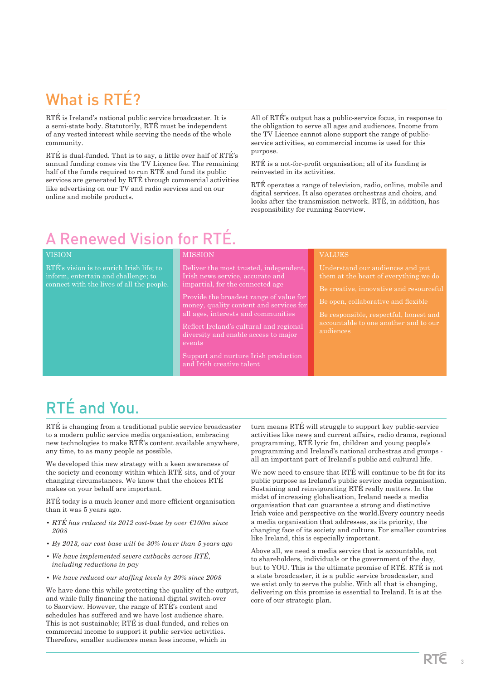# What is RTÉ?

RTÉ is Ireland's national public service broadcaster. It is a semi-state body. Statutorily, RTÉ must be independent of any vested interest while serving the needs of the whole community.

RTÉ is dual-funded. That is to say, a little over half of RTÉ's annual funding comes via the TV Licence fee. The remaining half of the funds required to run RTÉ and fund its public services are generated by RTÉ through commercial activities like advertising on our TV and radio services and on our online and mobile products.

All of RTÉ's output has a public-service focus, in response to the obligation to serve all ages and audiences. Income from the TV Licence cannot alone support the range of publicservice activities, so commercial income is used for this purpose.

RTÉ is a not-for-profit organisation; all of its funding is reinvested in its activities.

RTÉ operates a range of television, radio, online, mobile and digital services. It also operates orchestras and choirs, and looks after the transmission network. RTÉ, in addition, has responsibility for running Saorview.

# A Renewed Vision for RTÉ.

### VISION

RTÉ's vision is to enrich Irish life; to inform, entertain and challenge; to connect with the lives of all the people.

### **MISSION**

Deliver the most trusted, independent, impartial, for the connected age

Provide the broadest range of value for

Reflect Ireland's cultural and regional diversity and enable access to major events

Support and nurture Irish production

### VALUES

Be creative, innovative and resourceful

Be open, collaborative and flexible

# RTÉ and You.

RTÉ is changing from a traditional public service broadcaster to a modern public service media organisation, embracing new technologies to make RTÉ's content available anywhere, any time, to as many people as possible.

We developed this new strategy with a keen awareness of the society and economy within which RTÉ sits, and of your changing circumstances. We know that the choices RTÉ makes on your behalf are important.

RTÉ today is a much leaner and more efficient organisation than it was 5 years ago.

- *RTÉ has reduced its 2012 cost-base by over €100m since 2008*
- *By 2013, our cost base will be 30% lower than 5 years ago*
- *We have implemented severe cutbacks across RTÉ, including reductions in pay*
- *We have reduced our staffing levels by 20% since 2008*

We have done this while protecting the quality of the output, and while fully financing the national digital switch-over to Saorview. However, the range of RTÉ's content and schedules has suffered and we have lost audience share. This is not sustainable; RTÉ is dual-funded, and relies on commercial income to support it public service activities. Therefore, smaller audiences mean less income, which in

turn means RTÉ will struggle to support key public-service activities like news and current affairs, radio drama, regional programming, RTÉ lyric fm, children and young people's programming and Ireland's national orchestras and groups all an important part of Ireland's public and cultural life.

We now need to ensure that RTÉ will continue to be fit for its public purpose as Ireland's public service media organisation. Sustaining and reinvigorating RTÉ really matters. In the midst of increasing globalisation, Ireland needs a media organisation that can guarantee a strong and distinctive Irish voice and perspective on the world.Every country needs a media organisation that addresses, as its priority, the changing face of its society and culture. For smaller countries like Ireland, this is especially important.

Above all, we need a media service that is accountable, not to shareholders, individuals or the government of the day, but to YOU. This is the ultimate promise of RTÉ. RTÉ is not a state broadcaster, it is a public service broadcaster, and we exist only to serve the public. With all that is changing, delivering on this promise is essential to Ireland. It is at the core of our strategic plan.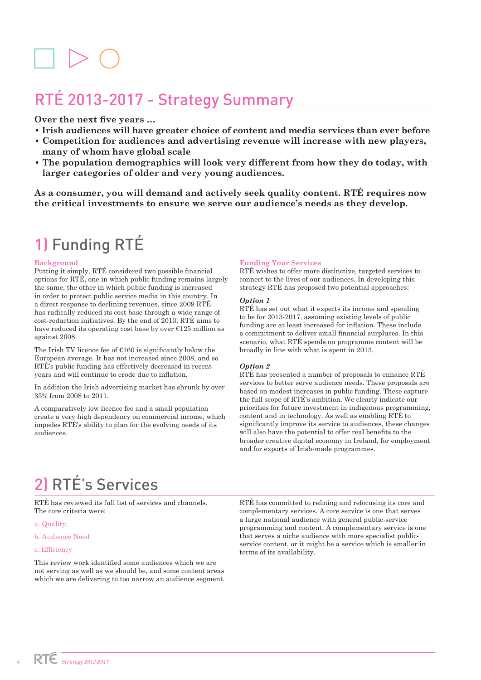# RTÉ 2013-2017 - Strategy Summary

### **Over the next five years …**

- **Irish audiences will have greater choice of content and media services than ever before**
- **Competition for audiences and advertising revenue will increase with new players, many of whom have global scale**
- **The population demographics will look very different from how they do today, with larger categories of older and very young audiences.**

**As a consumer, you will demand and actively seek quality content. RTÉ requires now the critical investments to ensure we serve our audience's needs as they develop.** 

# 1) Funding RTÉ

### **Background**

Putting it simply, RTÉ considered two possible financial options for RTÉ, one in which public funding remains largely the same, the other in which public funding is increased in order to protect public service media in this country. In a direct response to declining revenues, since 2009 RTÉ has radically reduced its cost base through a wide range of cost-reduction initiatives. By the end of 2013, RTÉ aims to have reduced its operating cost base by over  $E125$  million as against 2008.

The Irish TV licence fee of  $E160$  is significantly below the European average. It has not increased since 2008, and so RTÉ's public funding has effectively decreased in recent years and will continue to erode due to inflation.

In addition the Irish advertising market has shrunk by over 35% from 2008 to 2011.

A comparatively low licence fee and a small population create a very high dependency on commercial income, which impedes RTÉ's ability to plan for the evolving needs of its audiences.

### **Funding Your Services**

RTÉ wishes to offer more distinctive, targeted services to connect to the lives of our audiences. In developing this strategy RTÉ has proposed two potential approaches:

### *Option 1*

RTÉ has set out what it expects its income and spending to be for 2013-2017, assuming existing levels of public funding are at least increased for inflation. These include a commitment to deliver small financial surpluses. In this scenario, what RTÉ spends on programme content will be broadly in line with what is spent in 2013.

### *Option 2*

RTÉ has presented a number of proposals to enhance RTÉ services to better serve audience needs. These proposals are based on modest increases in public funding. These capture the full scope of RTÉ's ambition. We clearly indicate our priorities for future investment in indigenous programming, content and in technology. As well as enabling RTÉ to significantly improve its service to audiences, these changes will also have the potential to offer real benefits to the broader creative digital economy in Ireland, for employment and for exports of Irish-made programmes.

# 2) RTÉ's Services

RTÉ has reviewed its full list of services and channels. The core criteria were:

- a. Quality,
- b. Audience Need

#### c. Efficiency

This review work identified some audiences which we are not serving as well as we should be, and some content areas which we are delivering to too narrow an audience segment.

RTÉ has committed to refining and refocusing its core and complementary services. A core service is one that serves a large national audience with general public-service programming and content. A complementary service is one that serves a niche audience with more specialist publicservice content, or it might be a service which is smaller in terms of its availability.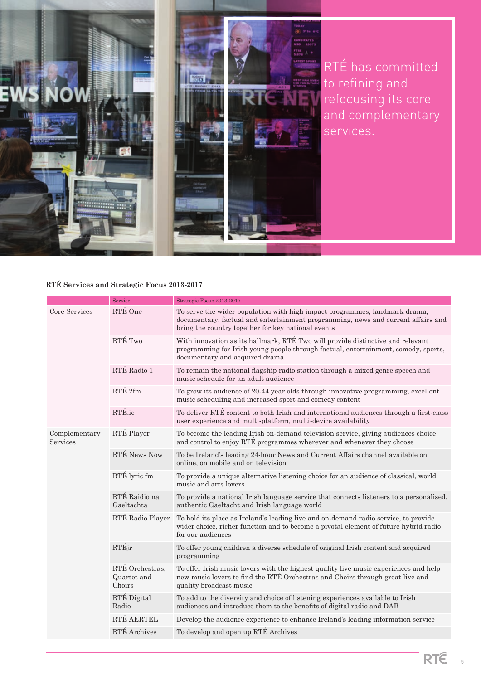

RTÉ has committed to refining and refocusing its core and complementary

### **RTÉ Services and Strategic Focus 2013-2017**

|                           | Service                                  | Strategic Focus 2013-2017                                                                                                                                                                                            |
|---------------------------|------------------------------------------|----------------------------------------------------------------------------------------------------------------------------------------------------------------------------------------------------------------------|
| Core Services             | RTÉ One                                  | To serve the wider population with high impact programmes, landmark drama,<br>documentary, factual and entertainment programming, news and current affairs and<br>bring the country together for key national events |
|                           | RTÉ Two                                  | With innovation as its hallmark, RTÉ Two will provide distinctive and relevant<br>programming for Irish young people through factual, entertainment, comedy, sports,<br>documentary and acquired drama               |
|                           | RTÉ Radio 1                              | To remain the national flagship radio station through a mixed genre speech and<br>music schedule for an adult audience                                                                                               |
|                           | RTÉ <sub>2fm</sub>                       | To grow its audience of 20-44 year olds through innovative programming, excellent<br>music scheduling and increased sport and comedy content                                                                         |
|                           | RTÉ.ie                                   | To deliver RTÉ content to both Irish and international audiences through a first-class<br>user experience and multi-platform, multi-device availability                                                              |
| Complementary<br>Services | RTÉ Player                               | To become the leading Irish on-demand television service, giving audiences choice<br>and control to enjoy RTÉ programmes wherever and whenever they choose                                                           |
|                           | RTÉ News Now                             | To be Ireland's leading 24-hour News and Current Affairs channel available on<br>online, on mobile and on television                                                                                                 |
|                           | RTÉ lyric fm                             | To provide a unique alternative listening choice for an audience of classical, world<br>music and arts lovers                                                                                                        |
|                           | RTÉ Raidio na<br>Gaeltachta              | To provide a national Irish language service that connects listeners to a personalised,<br>authentic Gaeltacht and Irish language world                                                                              |
|                           | RTÉ Radio Player                         | To hold its place as Ireland's leading live and on-demand radio service, to provide<br>wider choice, richer function and to become a pivotal element of future hybrid radio<br>for our audiences                     |
|                           | RTÉjr                                    | To offer young children a diverse schedule of original Irish content and acquired<br>programming                                                                                                                     |
|                           | RTÉ Orchestras,<br>Quartet and<br>Choirs | To offer Irish music lovers with the highest quality live music experiences and help<br>new music lovers to find the RTÉ Orchestras and Choirs through great live and<br>quality broadcast music                     |
|                           | RTÉ Digital<br>Radio                     | To add to the diversity and choice of listening experiences available to Irish<br>audiences and introduce them to the benefits of digital radio and DAB                                                              |
|                           | RTÉ AERTEL                               | Develop the audience experience to enhance Ireland's leading information service                                                                                                                                     |
|                           | RTÉ Archives                             | To develop and open up RTÉ Archives                                                                                                                                                                                  |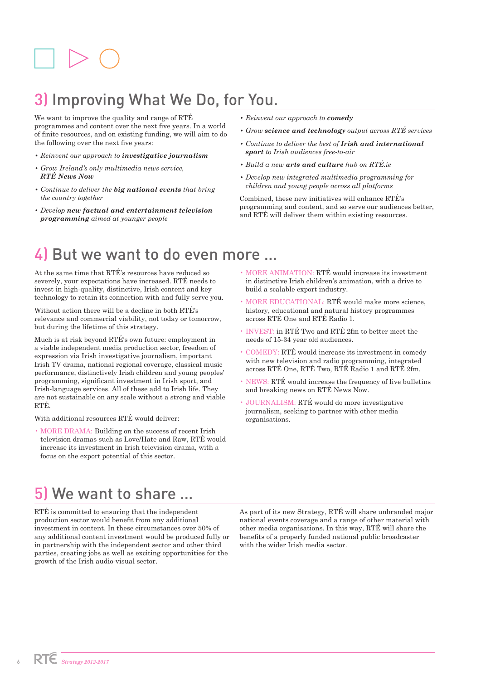# 3) Improving What We Do, for You.

We want to improve the quality and range of RTÉ programmes and content over the next five years. In a world of finite resources, and on existing funding, we will aim to do the following over the next five years:

- *Reinvent our approach to investigative journalism*
- *Grow Ireland's only multimedia news service, RTÉ News Now*
- *Continue to deliver the big national events that bring the country together*
- *Develop new factual and entertainment television programming aimed at younger people*
- *Reinvent our approach to comedy*
- *Grow science and technology output across RTÉ services*
- *Continue to deliver the best of Irish and international sport to Irish audiences free-to-air*
- *Build a new arts and culture hub on RTÉ.ie*
- *Develop new integrated multimedia programming for children and young people across all platforms*

Combined, these new initiatives will enhance RTÉ's programming and content, and so serve our audiences better, and RTÉ will deliver them within existing resources.

## But we want to do even more ...

At the same time that RTÉ's resources have reduced so severely, your expectations have increased. RTÉ needs to invest in high-quality, distinctive, Irish content and key technology to retain its connection with and fully serve you.

Without action there will be a decline in both RTÉ's relevance and commercial viability, not today or tomorrow, but during the lifetime of this strategy.

Much is at risk beyond RTÉ's own future: employment in a viable independent media production sector, freedom of expression via Irish investigative journalism, important Irish TV drama, national regional coverage, classical music performance, distinctively Irish children and young peoples' programming, significant investment in Irish sport, and Irish-language services. All of these add to Irish life. They are not sustainable on any scale without a strong and viable RTÉ.

With additional resources RTÉ would deliver:

• MORE DRAMA: Building on the success of recent Irish television dramas such as Love/Hate and Raw, RTÉ would increase its investment in Irish television drama, with a focus on the export potential of this sector.

- MORE ANIMATION: RTÉ would increase its investment in distinctive Irish children's animation, with a drive to build a scalable export industry.
- MORE EDUCATIONAL: RTÉ would make more science, history, educational and natural history programmes across RTÉ One and RTÉ Radio 1.
- INVEST: in RTÉ Two and RTÉ 2fm to better meet the needs of 15-34 year old audiences.
- COMEDY: RTÉ would increase its investment in comedy with new television and radio programming, integrated across RTÉ One, RTÉ Two, RTÉ Radio 1 and RTÉ 2fm.
- NEWS: RTÉ would increase the frequency of live bulletins and breaking news on RTÉ News Now.
- JOURNALISM: RTÉ would do more investigative journalism, seeking to partner with other media organisations.

# 5) We want to share …

RTÉ is committed to ensuring that the independent production sector would benefit from any additional investment in content. In these circumstances over 50% of any additional content investment would be produced fully or in partnership with the independent sector and other third parties, creating jobs as well as exciting opportunities for the growth of the Irish audio-visual sector.

As part of its new Strategy, RTÉ will share unbranded major national events coverage and a range of other material with other media organisations. In this way, RTÉ will share the benefits of a properly funded national public broadcaster with the wider Irish media sector.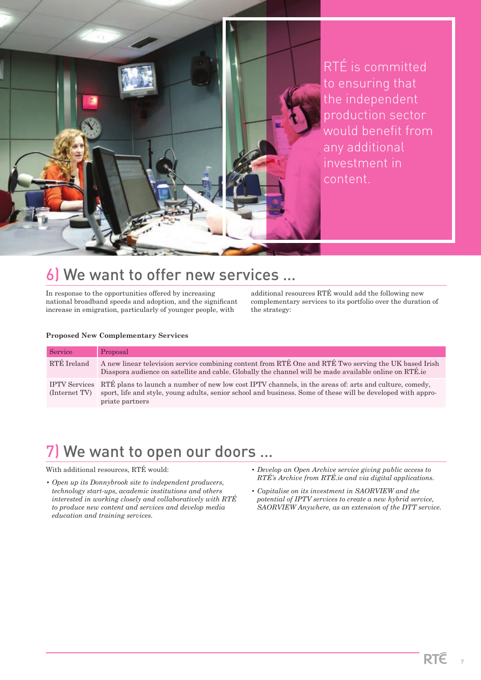

RTÉ is committed to ensuring that the independent production sector would benefit from any additional investment in content.

## 6) We want to offer new services …

In response to the opportunities offered by increasing national broadband speeds and adoption, and the significant increase in emigration, particularly of younger people, with

additional resources RTÉ would add the following new complementary services to its portfolio over the duration of the strategy:

### **Proposed New Complementary Services**

| Service       | Proposal                                                                                                                                                                                                                                                |
|---------------|---------------------------------------------------------------------------------------------------------------------------------------------------------------------------------------------------------------------------------------------------------|
| RTÉ Ireland   | A new linear television service combining content from RTÉ One and RTÉ Two serving the UK based Irish<br>Diaspora audience on satellite and cable. Globally the channel will be made available online on RTÉ lie                                        |
| (Internet TV) | IPTV Services RTÉ plans to launch a number of new low cost IPTV channels, in the areas of: arts and culture, comedy,<br>sport, life and style, young adults, senior school and business. Some of these will be developed with appro-<br>priate partners |

## 7) We want to open our doors …

### With additional resources, RTÉ would:

- *Open up its Donnybrook site to independent producers, technology start-ups, academic institutions and others interested in working closely and collaboratively with RTÉ to produce new content and services and develop media education and training services.*
- *Develop an Open Archive service giving public access to RTÉ's Archive from RTÉ.ie and via digital applications.*
- *Capitalise on its investment in SAORVIEW and the potential of IPTV services to create a new hybrid service, SAORVIEW Anywhere, as an extension of the DTT service.*